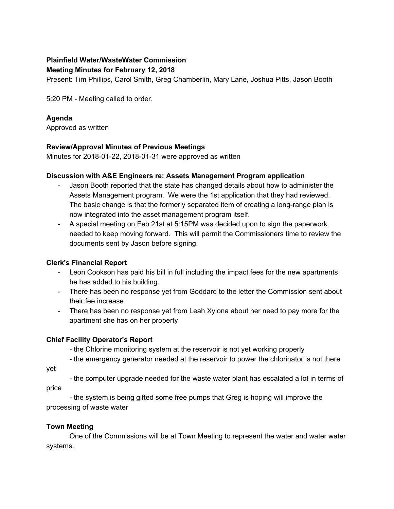# **Plainfield Water/WasteWater Commission**

#### **Meeting Minutes for February 12, 2018**

Present: Tim Phillips, Carol Smith, Greg Chamberlin, Mary Lane, Joshua Pitts, Jason Booth

5:20 PM - Meeting called to order.

## **Agenda**

Approved as written

## **Review/Approval Minutes of Previous Meetings**

Minutes for 2018-01-22, 2018-01-31 were approved as written

## **Discussion with A&E Engineers re: Assets Management Program application**

- Jason Booth reported that the state has changed details about how to administer the Assets Management program. We were the 1st application that they had reviewed. The basic change is that the formerly separated item of creating a long-range plan is now integrated into the asset management program itself.
- A special meeting on Feb 21st at 5:15PM was decided upon to sign the paperwork needed to keep moving forward. This will permit the Commissioners time to review the documents sent by Jason before signing.

## **Clerk's Financial Report**

- Leon Cookson has paid his bill in full including the impact fees for the new apartments he has added to his building.
- There has been no response yet from Goddard to the letter the Commission sent about their fee increase.
- There has been no response yet from Leah Xylona about her need to pay more for the apartment she has on her property

# **Chief Facility Operator's Report**

- the Chlorine monitoring system at the reservoir is not yet working properly

- the emergency generator needed at the reservoir to power the chlorinator is not there

- the computer upgrade needed for the waste water plant has escalated a lot in terms of price

- the system is being gifted some free pumps that Greg is hoping will improve the processing of waste water

## **Town Meeting**

yet

One of the Commissions will be at Town Meeting to represent the water and water water systems.